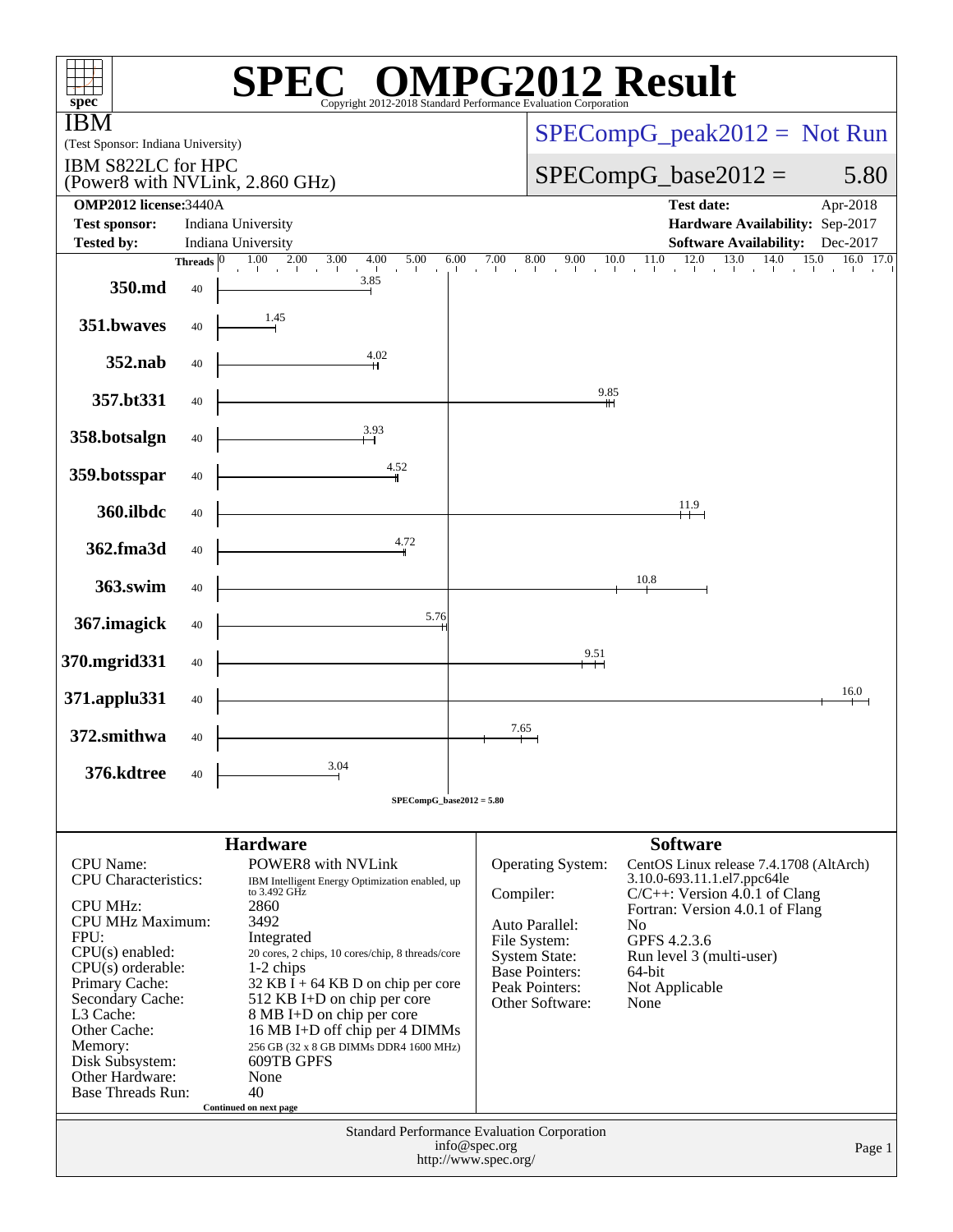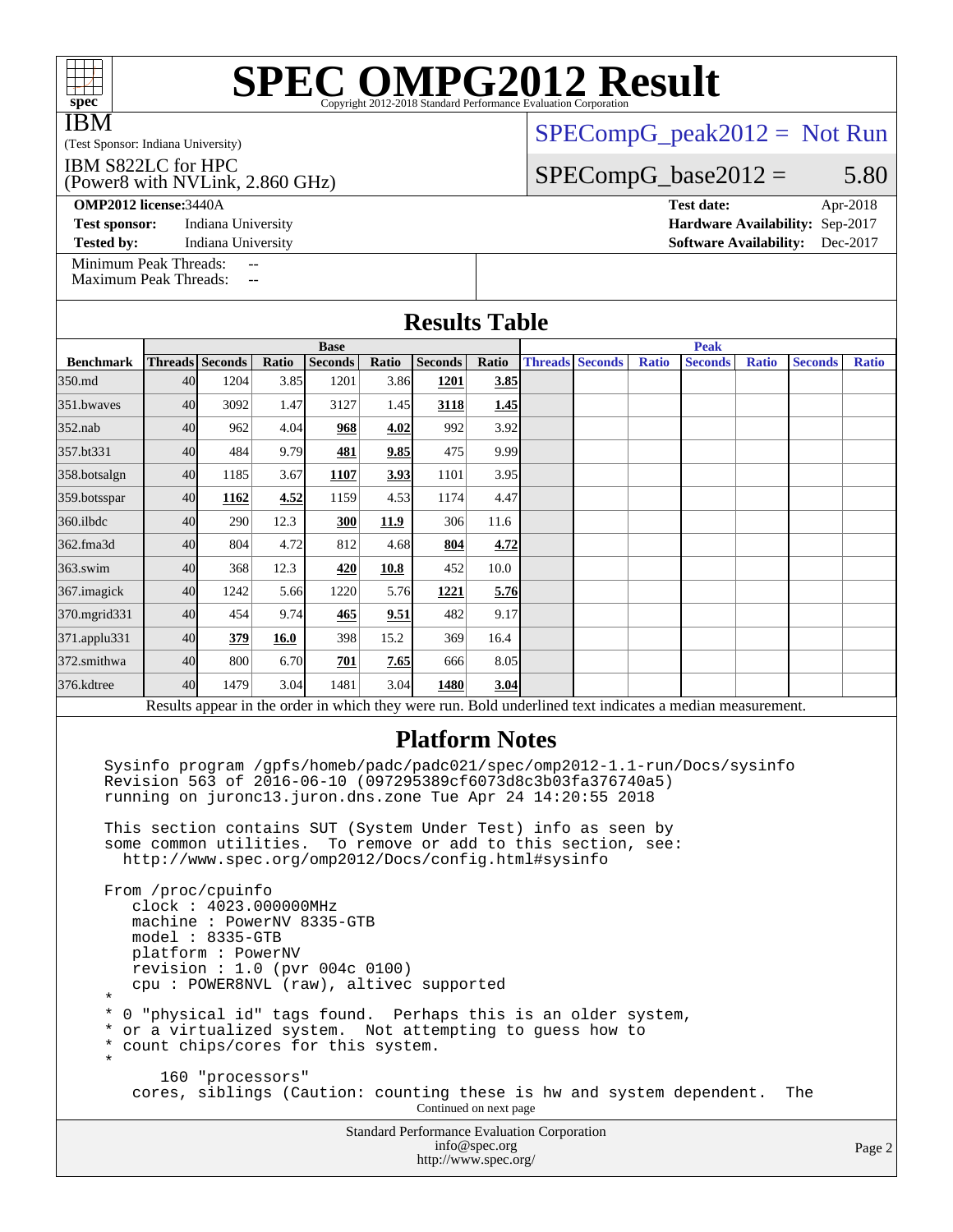| <b>IBM</b>                                                                                                                                                                                                 | $SPECompG_peak2012 = Not Run$                                                                                                                                                                     |                  |       |                               |       |                                                    |               |  |                               |              |                                                                      |              |                |              |  |
|------------------------------------------------------------------------------------------------------------------------------------------------------------------------------------------------------------|---------------------------------------------------------------------------------------------------------------------------------------------------------------------------------------------------|------------------|-------|-------------------------------|-------|----------------------------------------------------|---------------|--|-------------------------------|--------------|----------------------------------------------------------------------|--------------|----------------|--------------|--|
| (Test Sponsor: Indiana University)<br>IBM S822LC for HPC<br>(Power8 with NVLink, 2.860 GHz)                                                                                                                |                                                                                                                                                                                                   |                  |       |                               |       |                                                    |               |  | $SPECompG_base2012 =$<br>5.80 |              |                                                                      |              |                |              |  |
| <b>OMP2012 license:3440A</b><br><b>Test sponsor:</b><br><b>Tested by:</b>                                                                                                                                  | <b>Test date:</b><br>Apr-2018<br>Hardware Availability: Sep-2017<br><b>Software Availability:</b><br>Dec-2017                                                                                     |                  |       |                               |       |                                                    |               |  |                               |              |                                                                      |              |                |              |  |
| Minimum Peak Threads:<br>$\overline{a}$<br><b>Maximum Peak Threads:</b><br>$-$                                                                                                                             |                                                                                                                                                                                                   |                  |       |                               |       |                                                    |               |  |                               |              |                                                                      |              |                |              |  |
| <b>Results Table</b>                                                                                                                                                                                       |                                                                                                                                                                                                   |                  |       |                               |       |                                                    |               |  |                               |              |                                                                      |              |                |              |  |
| <b>Benchmark</b>                                                                                                                                                                                           |                                                                                                                                                                                                   | Threads Seconds  | Ratio | <b>Base</b><br><b>Seconds</b> | Ratio | <b>Seconds</b>                                     | Ratio         |  | <b>Threads</b> Seconds        | <b>Ratio</b> | <b>Peak</b><br><b>Seconds</b>                                        | <b>Ratio</b> | <b>Seconds</b> | <b>Ratio</b> |  |
| 350.md                                                                                                                                                                                                     | 40                                                                                                                                                                                                | 1204             | 3.85  | 1201                          | 3.86  | 1201                                               | 3.85          |  |                               |              |                                                                      |              |                |              |  |
| 351.bwayes                                                                                                                                                                                                 | 40                                                                                                                                                                                                | 3092             | 1.47  | 3127                          | 1.45  | 3118                                               | 1.45          |  |                               |              |                                                                      |              |                |              |  |
| 352.nab                                                                                                                                                                                                    | 40                                                                                                                                                                                                | 962              | 4.04  | 968                           | 4.02  | 992                                                | 3.92          |  |                               |              |                                                                      |              |                |              |  |
| 357.bt331                                                                                                                                                                                                  | 40                                                                                                                                                                                                | 484              | 9.79  | 481                           | 9.85  | 475                                                | 9.99          |  |                               |              |                                                                      |              |                |              |  |
| 358.botsalgn                                                                                                                                                                                               | 40                                                                                                                                                                                                | 1185             | 3.67  | 1107                          | 3.93  | 1101                                               | 3.95          |  |                               |              |                                                                      |              |                |              |  |
| 359.botsspar                                                                                                                                                                                               | 40                                                                                                                                                                                                | 1162             | 4.52  | 1159                          | 4.53  | 1174                                               | 4.47          |  |                               |              |                                                                      |              |                |              |  |
| 360.ilbdc                                                                                                                                                                                                  | 40                                                                                                                                                                                                | 290              | 12.3  | 300                           | 11.9  | 306                                                | 11.6          |  |                               |              |                                                                      |              |                |              |  |
| 362.fma3d                                                                                                                                                                                                  | 40                                                                                                                                                                                                | 804              | 4.72  | 812                           | 4.68  | 804                                                | 4.72          |  |                               |              |                                                                      |              |                |              |  |
| $363$ .swim                                                                                                                                                                                                | 40                                                                                                                                                                                                | 368              | 12.3  | 420                           | 10.8  | 452                                                | 10.0          |  |                               |              |                                                                      |              |                |              |  |
| 367. imagick                                                                                                                                                                                               | 40                                                                                                                                                                                                | 1242             | 5.66  | 1220                          | 5.76  | 1221                                               | 5.76          |  |                               |              |                                                                      |              |                |              |  |
| 370.mgrid331                                                                                                                                                                                               | 40                                                                                                                                                                                                | 454              | 9.74  | 465                           | 9.51  | 482                                                | 9.17          |  |                               |              |                                                                      |              |                |              |  |
| 371.applu331                                                                                                                                                                                               | 40                                                                                                                                                                                                | 379              | 16.0  | 398                           | 15.2  | 369                                                | 16.4          |  |                               |              |                                                                      |              |                |              |  |
| 372.smithwa                                                                                                                                                                                                | 40                                                                                                                                                                                                | 800              | 6.70  | 701                           | 7.65  | 666                                                | 8.05          |  |                               |              |                                                                      |              |                |              |  |
| 376.kdtree                                                                                                                                                                                                 | 40                                                                                                                                                                                                | 1479             | 3.04  | 1481                          | 3.04  | 1480                                               | 3.04          |  |                               |              |                                                                      |              |                |              |  |
|                                                                                                                                                                                                            |                                                                                                                                                                                                   |                  |       |                               |       |                                                    |               |  |                               |              |                                                                      |              |                |              |  |
| Results appear in the order in which they were run. Bold underlined text indicates a median measurement.<br><b>Platform Notes</b>                                                                          |                                                                                                                                                                                                   |                  |       |                               |       |                                                    |               |  |                               |              |                                                                      |              |                |              |  |
| Sysinfo program /gpfs/homeb/padc/padc021/spec/omp2012-1.1-run/Docs/sysinfo<br>Revision 563 of 2016-06-10 (097295389cf6073d8c3b03fa376740a5)<br>running on juronc13.juron.dns.zone Tue Apr 24 14:20:55 2018 |                                                                                                                                                                                                   |                  |       |                               |       |                                                    |               |  |                               |              |                                                                      |              |                |              |  |
| This section contains SUT (System Under Test) info as seen by<br>some common utilities. To remove or add to this section, see:<br>http://www.spec.org/omp2012/Docs/config.html#sysinfo                     |                                                                                                                                                                                                   |                  |       |                               |       |                                                    |               |  |                               |              |                                                                      |              |                |              |  |
| *                                                                                                                                                                                                          | From /proc/cpuinfo<br>clock: 4023.000000MHz<br>machine: PowerNV 8335-GTB<br>$model: 8335-GTB$<br>platform: PowerNV<br>revision : $1.0$ (pvr 004c 0100)<br>cpu: POWER8NVL (raw), altivec supported |                  |       |                               |       |                                                    |               |  |                               |              |                                                                      |              |                |              |  |
| *<br>*<br>*<br>$^\star$                                                                                                                                                                                    | 0 "physical id" tags found. Perhaps this is an older system,<br>or a virtualized system. Not attempting to guess how to<br>count chips/cores for this system.                                     |                  |       |                               |       |                                                    |               |  |                               |              |                                                                      |              |                |              |  |
|                                                                                                                                                                                                            |                                                                                                                                                                                                   | 160 "processors" |       |                               |       | Continued on next page                             |               |  |                               |              | cores, siblings (Caution: counting these is hw and system dependent. |              | The            |              |  |
|                                                                                                                                                                                                            |                                                                                                                                                                                                   |                  |       |                               |       | <b>Standard Performance Evaluation Corporation</b> | info@spec.org |  |                               |              |                                                                      |              |                | Page 2       |  |

# **[SPEC OMPG2012 Result](http://www.spec.org/auto/omp2012/Docs/result-fields.html#SPECOMPG2012Result)**

#### Page 2

<http://www.spec.org/>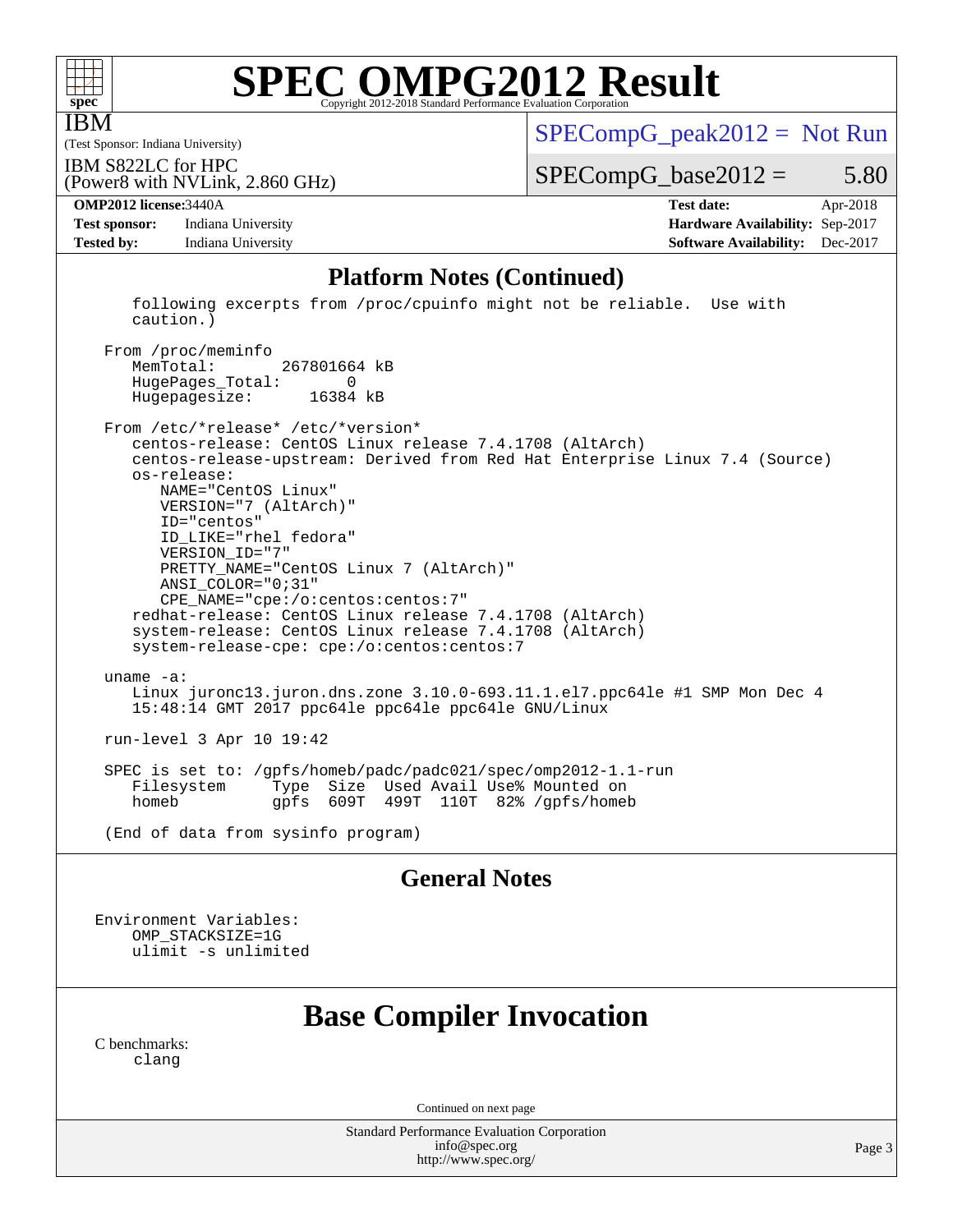

IBM

# **[SPEC OMPG2012 Result](http://www.spec.org/auto/omp2012/Docs/result-fields.html#SPECOMPG2012Result)**

(Test Sponsor: Indiana University) IBM S822LC for HPC

 $SPECompG_peak2012 = Not Run$  $SPECompG_peak2012 = Not Run$ 

 $SPECompG_base2012 = 5.80$  $SPECompG_base2012 = 5.80$ 

**[Test sponsor:](http://www.spec.org/auto/omp2012/Docs/result-fields.html#Testsponsor)** Indiana University **[Hardware Availability:](http://www.spec.org/auto/omp2012/Docs/result-fields.html#HardwareAvailability)** Sep-2017 **[Tested by:](http://www.spec.org/auto/omp2012/Docs/result-fields.html#Testedby)** Indiana University **[Software Availability:](http://www.spec.org/auto/omp2012/Docs/result-fields.html#SoftwareAvailability)** Dec-2017

(Power8 with NVLink, 2.860 GHz)

**[OMP2012 license:](http://www.spec.org/auto/omp2012/Docs/result-fields.html#OMP2012license)**3440A **[Test date:](http://www.spec.org/auto/omp2012/Docs/result-fields.html#Testdate)** Apr-2018

#### **[Platform Notes \(Continued\)](http://www.spec.org/auto/omp2012/Docs/result-fields.html#PlatformNotes)**

 following excerpts from /proc/cpuinfo might not be reliable. Use with caution.)

From /proc/meminfo<br>MemTotal: 267801664 kB HugePages\_Total: 0 Hugepagesize: 16384 kB

 From /etc/\*release\* /etc/\*version\* centos-release: CentOS Linux release 7.4.1708 (AltArch) centos-release-upstream: Derived from Red Hat Enterprise Linux 7.4 (Source) os-release: NAME="CentOS Linux" VERSION="7 (AltArch)" ID="centos" ID\_LIKE="rhel fedora" VERSION\_ID="7" PRETTY\_NAME="CentOS Linux 7 (AltArch)" ANSI\_COLOR="0;31" CPE\_NAME="cpe:/o:centos:centos:7" redhat-release: CentOS Linux release 7.4.1708 (AltArch) system-release: CentOS Linux release 7.4.1708 (AltArch) system-release-cpe: cpe:/o:centos:centos:7 uname -a: Linux juronc13.juron.dns.zone 3.10.0-693.11.1.el7.ppc64le #1 SMP Mon Dec 4 15:48:14 GMT 2017 ppc64le ppc64le ppc64le GNU/Linux run-level 3 Apr 10 19:42 SPEC is set to: /gpfs/homeb/padc/padc021/spec/omp2012-1.1-run Type Size Used Avail Use% Mounted on

homeb gpfs 609T 499T 110T 82% /gpfs/homeb

(End of data from sysinfo program)

#### **[General Notes](http://www.spec.org/auto/omp2012/Docs/result-fields.html#GeneralNotes)**

Environment Variables: OMP\_STACKSIZE=1G ulimit -s unlimited

## **[Base Compiler Invocation](http://www.spec.org/auto/omp2012/Docs/result-fields.html#BaseCompilerInvocation)**

[C benchmarks](http://www.spec.org/auto/omp2012/Docs/result-fields.html#Cbenchmarks): [clang](http://www.spec.org/omp2012/results/res2018q2/omp2012-20180605-00145.flags.html#user_CCbase_clang_2c5517db7bc397f9b14ae357a7ce54ff)

Continued on next page

Standard Performance Evaluation Corporation [info@spec.org](mailto:info@spec.org) <http://www.spec.org/>

Page 3